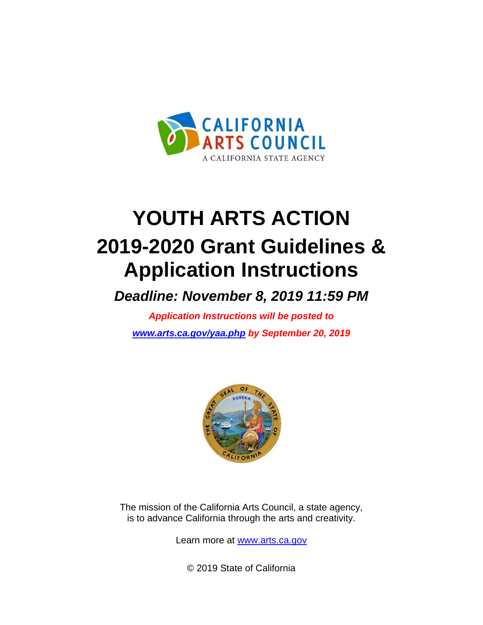

# **YOUTH ARTS ACTION 2019-2020 Grant Guidelines & Application Instructions**

*Deadline: November 8, 2019 11:59 PM*

*Application Instructions will be posted to [www.arts.ca.gov/yaa.php](http://www.arts.ca.gov/yaa.php) by September 20, 2019*



The mission of the California Arts Council, a state agency, is to advance California through the arts and creativity.

Learn more at [www.arts.ca.gov](http://www.arts.ca.gov/)

© 2019 State of California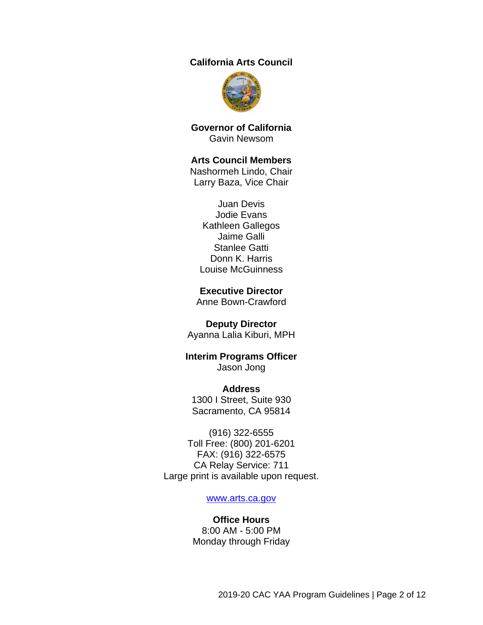### **California Arts Council**



**Governor of California** Gavin Newsom

#### **Arts Council Members**

Nashormeh Lindo, Chair Larry Baza, Vice Chair

Juan Devis Jodie Evans Kathleen Gallegos Jaime Galli Stanlee Gatti Donn K. Harris Louise McGuinness

#### **Executive Director**

Anne Bown-Crawford

#### **Deputy Director**

Ayanna Lalia Kiburi, MPH

### **Interim Programs Officer** Jason Jong

**Address** 1300 I Street, Suite 930 Sacramento, CA 95814

(916) 322-6555 Toll Free: (800) 201-6201 FAX: (916) 322-6575 CA Relay Service: 711 Large print is available upon request.

#### [www.arts.ca.gov](http://www.arts.ca.gov/)

#### **Office Hours** 8:00 AM - 5:00 PM Monday through Friday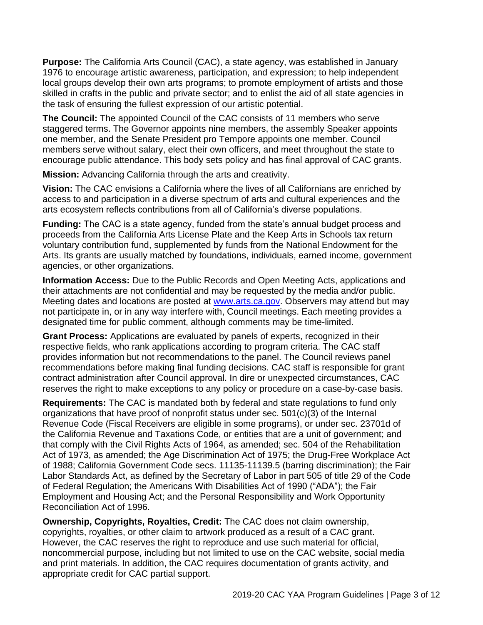**Purpose:** The California Arts Council (CAC), a state agency, was established in January 1976 to encourage artistic awareness, participation, and expression; to help independent local groups develop their own arts programs; to promote employment of artists and those skilled in crafts in the public and private sector; and to enlist the aid of all state agencies in the task of ensuring the fullest expression of our artistic potential.

**The Council:** The appointed Council of the CAC consists of 11 members who serve staggered terms. The Governor appoints nine members, the assembly Speaker appoints one member, and the Senate President pro Tempore appoints one member. Council members serve without salary, elect their own officers, and meet throughout the state to encourage public attendance. This body sets policy and has final approval of CAC grants.

**Mission:** Advancing California through the arts and creativity.

**Vision:** The CAC envisions a California where the lives of all Californians are enriched by access to and participation in a diverse spectrum of arts and cultural experiences and the arts ecosystem reflects contributions from all of California's diverse populations.

**Funding:** The CAC is a state agency, funded from the state's annual budget process and proceeds from the California Arts License Plate and the Keep Arts in Schools tax return voluntary contribution fund, supplemented by funds from the National Endowment for the Arts. Its grants are usually matched by foundations, individuals, earned income, government agencies, or other organizations.

**Information Access:** Due to the Public Records and Open Meeting Acts, applications and their attachments are not confidential and may be requested by the media and/or public. Meeting dates and locations are posted at [www.arts.ca.gov.](http://www.arts.ca.gov/) Observers may attend but may not participate in, or in any way interfere with, Council meetings. Each meeting provides a designated time for public comment, although comments may be time-limited.

**Grant Process:** Applications are evaluated by panels of experts, recognized in their respective fields, who rank applications according to program criteria. The CAC staff provides information but not recommendations to the panel. The Council reviews panel recommendations before making final funding decisions. CAC staff is responsible for grant contract administration after Council approval. In dire or unexpected circumstances, CAC reserves the right to make exceptions to any policy or procedure on a case-by-case basis.

<span id="page-2-0"></span>**Requirements:** The CAC is mandated both by federal and state regulations to fund only organizations that have proof of nonprofit status under sec. 501(c)(3) of the Internal Revenue Code (Fiscal Receivers are eligible in some programs), or under sec. 23701d of the California Revenue and Taxations Code, or entities that are a unit of government; and that comply with the Civil Rights Acts of 1964, as amended; sec. 504 of the Rehabilitation Act of 1973, as amended; the Age Discrimination Act of 1975; the Drug-Free Workplace Act of 1988; California Government Code secs. 11135-11139.5 (barring discrimination); the Fair Labor Standards Act, as defined by the Secretary of Labor in part 505 of title 29 of the Code of Federal Regulation; the Americans With Disabilities Act of 1990 ("ADA"); the Fair Employment and Housing Act; and the Personal Responsibility and Work Opportunity Reconciliation Act of 1996.

**Ownership, Copyrights, Royalties, Credit:** The CAC does not claim ownership, copyrights, royalties, or other claim to artwork produced as a result of a CAC grant. However, the CAC reserves the right to reproduce and use such material for official, noncommercial purpose, including but not limited to use on the CAC website, social media and print materials. In addition, the CAC requires documentation of grants activity, and appropriate credit for CAC partial support.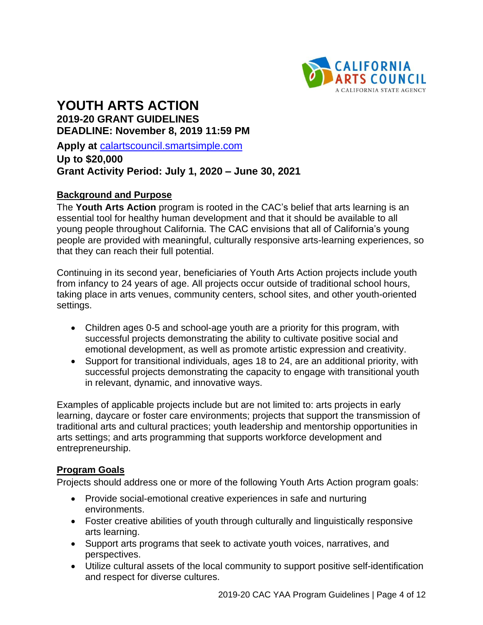

# **YOUTH ARTS ACTION 2019-20 GRANT GUIDELINES DEADLINE: November 8, 2019 11:59 PM**

**Apply at** [calartscouncil.smartsimple.com](https://calartscouncil.smartsimple.com/s_Login.jsp)

**Up to \$20,000 Grant Activity Period: July 1, 2020 – June 30, 2021**

# **Background and Purpose**

The **Youth Arts Action** program is rooted in the CAC's belief that arts learning is an essential tool for healthy human development and that it should be available to all young people throughout California. The CAC envisions that all of California's young people are provided with meaningful, culturally responsive arts-learning experiences, so that they can reach their full potential.

Continuing in its second year, beneficiaries of Youth Arts Action projects include youth from infancy to 24 years of age. All projects occur outside of traditional school hours, taking place in arts venues, community centers, school sites, and other youth-oriented settings.

- Children ages 0-5 and school-age youth are a priority for this program, with successful projects demonstrating the ability to cultivate positive social and emotional development, as well as promote artistic expression and creativity.
- Support for transitional individuals, ages 18 to 24, are an additional priority, with successful projects demonstrating the capacity to engage with transitional youth in relevant, dynamic, and innovative ways.

Examples of applicable projects include but are not limited to: arts projects in early learning, daycare or foster care environments; projects that support the transmission of traditional arts and cultural practices; youth leadership and mentorship opportunities in arts settings; and arts programming that supports workforce development and entrepreneurship.

### **Program Goals**

Projects should address one or more of the following Youth Arts Action program goals:

- Provide social-emotional creative experiences in safe and nurturing environments.
- Foster creative abilities of youth through culturally and linguistically responsive arts learning.
- Support arts programs that seek to activate youth voices, narratives, and perspectives.
- Utilize cultural assets of the local community to support positive self-identification and respect for diverse cultures.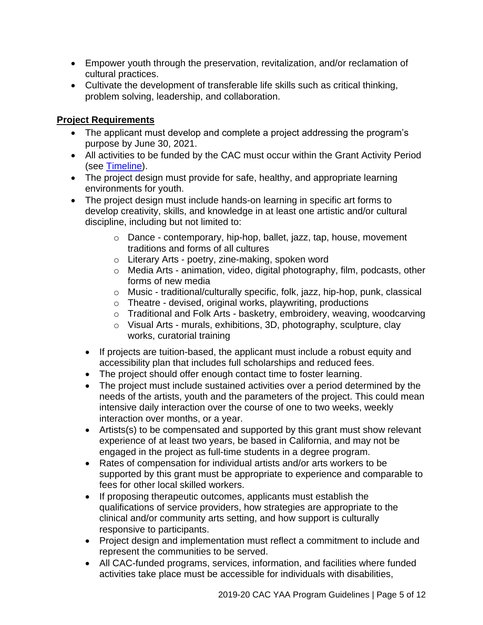- Empower youth through the preservation, revitalization, and/or reclamation of cultural practices.
- Cultivate the development of transferable life skills such as critical thinking, problem solving, leadership, and collaboration.

# **Project Requirements**

- The applicant must develop and complete a project addressing the program's purpose by June 30, 2021.
- All activities to be funded by the CAC must occur within the Grant Activity Period (see [Timeline\)](#page-9-0).
- The project design must provide for safe, healthy, and appropriate learning environments for youth.
- The project design must include hands-on learning in specific art forms to develop creativity, skills, and knowledge in at least one artistic and/or cultural discipline, including but not limited to:
	- o Dance contemporary, hip-hop, ballet, jazz, tap, house, movement traditions and forms of all cultures
	- o Literary Arts poetry, zine-making, spoken word
	- o Media Arts animation, video, digital photography, film, podcasts, other forms of new media
	- o Music traditional/culturally specific, folk, jazz, hip-hop, punk, classical
	- o Theatre devised, original works, playwriting, productions
	- o Traditional and Folk Arts basketry, embroidery, weaving, woodcarving
	- o Visual Arts murals, exhibitions, 3D, photography, sculpture, clay works, curatorial training
	- If projects are tuition-based, the applicant must include a robust equity and accessibility plan that includes full scholarships and reduced fees.
	- The project should offer enough contact time to foster learning.
	- The project must include sustained activities over a period determined by the needs of the artists, youth and the parameters of the project. This could mean intensive daily interaction over the course of one to two weeks, weekly interaction over months, or a year.
	- Artists(s) to be compensated and supported by this grant must show relevant experience of at least two years, be based in California, and may not be engaged in the project as full-time students in a degree program.
	- Rates of compensation for individual artists and/or arts workers to be supported by this grant must be appropriate to experience and comparable to fees for other local skilled workers.
	- If proposing therapeutic outcomes, applicants must establish the qualifications of service providers, how strategies are appropriate to the clinical and/or community arts setting, and how support is culturally responsive to participants.
	- Project design and implementation must reflect a commitment to include and represent the communities to be served.
	- All CAC-funded programs, services, information, and facilities where funded activities take place must be accessible for individuals with disabilities,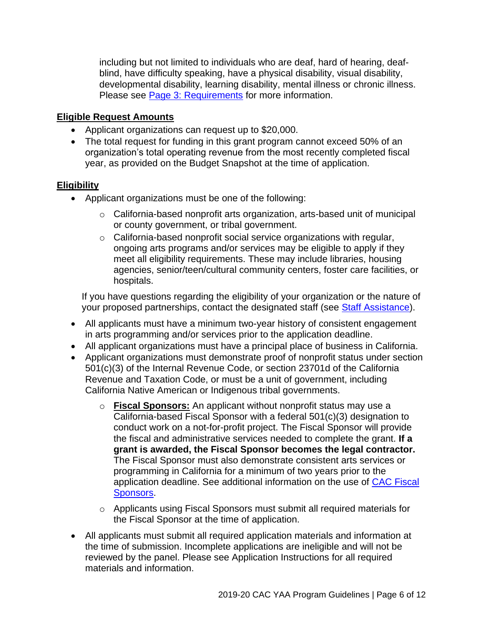including but not limited to individuals who are deaf, hard of hearing, deafblind, have difficulty speaking, have a physical disability, visual disability, developmental disability, learning disability, mental illness or chronic illness. Please see [Page 3: Requirements](#page-2-0) for more information.

# **Eligible Request Amounts**

- Applicant organizations can request up to \$20,000.
- The total request for funding in this grant program cannot exceed 50% of an organization's total operating revenue from the most recently completed fiscal year, as provided on the Budget Snapshot at the time of application.

# **Eligibility**

- Applicant organizations must be one of the following:
	- $\circ$  California-based nonprofit arts organization, arts-based unit of municipal or county government, or tribal government.
	- $\circ$  California-based nonprofit social service organizations with regular, ongoing arts programs and/or services may be eligible to apply if they meet all eligibility requirements. These may include libraries, housing agencies, senior/teen/cultural community centers, foster care facilities, or hospitals.

If you have questions regarding the eligibility of your organization or the nature of your proposed partnerships, contact the designated staff (see [Staff Assistance\)](#page-10-0).

- All applicants must have a minimum two-year history of consistent engagement in arts programming and/or services prior to the application deadline.
- All applicant organizations must have a principal place of business in California.
- Applicant organizations must demonstrate proof of nonprofit status under section 501(c)(3) of the Internal Revenue Code, or section 23701d of the California Revenue and Taxation Code, or must be a unit of government, including California Native American or Indigenous tribal governments.
	- o **Fiscal Sponsors:** An applicant without nonprofit status may use a California-based Fiscal Sponsor with a federal 501(c)(3) designation to conduct work on a not-for-profit project. The Fiscal Sponsor will provide the fiscal and administrative services needed to complete the grant. **If a grant is awarded, the Fiscal Sponsor becomes the legal contractor.** The Fiscal Sponsor must also demonstrate consistent arts services or programming in California for a minimum of two years prior to the application deadline. See additional information on the use of [CAC Fiscal](http://arts.ca.gov/programs/program_files/shared_files/CAC%20Fiscal%20Sponsor%20Information.pdf)  [Sponsors.](http://arts.ca.gov/programs/program_files/shared_files/CAC%20Fiscal%20Sponsor%20Information.pdf)
	- $\circ$  Applicants using Fiscal Sponsors must submit all required materials for the Fiscal Sponsor at the time of application.
- All applicants must submit all required application materials and information at the time of submission. Incomplete applications are ineligible and will not be reviewed by the panel. Please see Application Instructions for all required materials and information.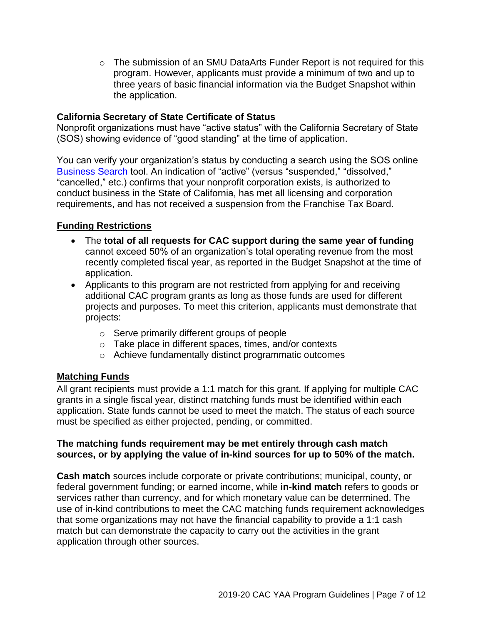$\circ$  The submission of an SMU DataArts Funder Report is not required for this program. However, applicants must provide a minimum of two and up to three years of basic financial information via the Budget Snapshot within the application.

## **California Secretary of State Certificate of Status**

Nonprofit organizations must have "active status" with the California Secretary of State (SOS) showing evidence of "good standing" at the time of application.

You can verify your organization's status by conducting a search using the SOS online [Business Search](https://businesssearch.sos.ca.gov/) tool. An indication of "active" (versus "suspended," "dissolved," "cancelled," etc.) confirms that your nonprofit corporation exists, is authorized to conduct business in the State of California, has met all licensing and corporation requirements, and has not received a suspension from the Franchise Tax Board.

# **Funding Restrictions**

- The **total of all requests for CAC support during the same year of funding** cannot exceed 50% of an organization's total operating revenue from the most recently completed fiscal year, as reported in the Budget Snapshot at the time of application.
- Applicants to this program are not restricted from applying for and receiving additional CAC program grants as long as those funds are used for different projects and purposes. To meet this criterion, applicants must demonstrate that projects:
	- o Serve primarily different groups of people
	- o Take place in different spaces, times, and/or contexts
	- o Achieve fundamentally distinct programmatic outcomes

# **Matching Funds**

All grant recipients must provide a 1:1 match for this grant. If applying for multiple CAC grants in a single fiscal year, distinct matching funds must be identified within each application. State funds cannot be used to meet the match. The status of each source must be specified as either projected, pending, or committed.

### **The matching funds requirement may be met entirely through cash match sources, or by applying the value of in-kind sources for up to 50% of the match.**

**Cash match** sources include corporate or private contributions; municipal, county, or federal government funding; or earned income, while **in-kind match** refers to goods or services rather than currency, and for which monetary value can be determined. The use of in-kind contributions to meet the CAC matching funds requirement acknowledges that some organizations may not have the financial capability to provide a 1:1 cash match but can demonstrate the capacity to carry out the activities in the grant application through other sources.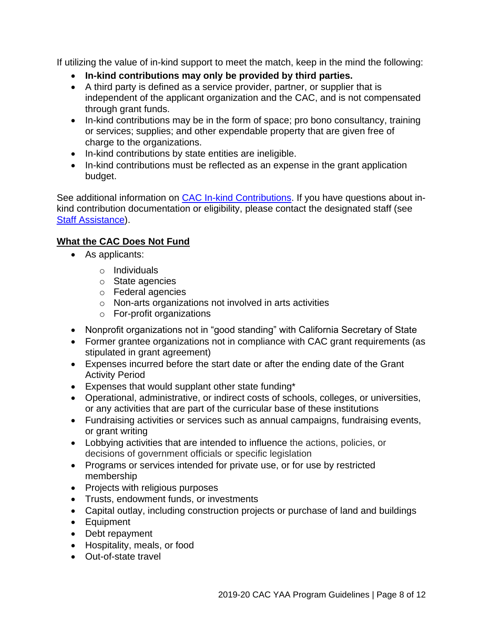If utilizing the value of in-kind support to meet the match, keep in the mind the following:

- **In-kind contributions may only be provided by third parties.**
- A third party is defined as a service provider, partner, or supplier that is independent of the applicant organization and the CAC, and is not compensated through grant funds.
- In-kind contributions may be in the form of space; pro bono consultancy, training or services; supplies; and other expendable property that are given free of charge to the organizations.
- In-kind contributions by state entities are ineligible.
- In-kind contributions must be reflected as an expense in the grant application budget.

See additional information on [CAC In-kind Contributions.](http://arts.ca.gov/programs/program_files/shared_files/CAC%20In-Kind%20Contribution%20Information.pdf) If you have questions about inkind contribution documentation or eligibility, please contact the designated staff (see [Staff Assistance\)](#page-10-0).

# **What the CAC Does Not Fund**

- As applicants:
	- o Individuals
	- o State agencies
	- o Federal agencies
	- o Non-arts organizations not involved in arts activities
	- o For-profit organizations
- Nonprofit organizations not in "good standing" with California Secretary of State
- Former grantee organizations not in compliance with CAC grant requirements (as stipulated in grant agreement)
- Expenses incurred before the start date or after the ending date of the Grant Activity Period
- Expenses that would supplant other state funding\*
- Operational, administrative, or indirect costs of schools, colleges, or universities, or any activities that are part of the curricular base of these institutions
- Fundraising activities or services such as annual campaigns, fundraising events, or grant writing
- Lobbying activities that are intended to influence the actions, policies, or decisions of government officials or specific legislation
- Programs or services intended for private use, or for use by restricted membership
- Projects with religious purposes
- Trusts, endowment funds, or investments
- Capital outlay, including construction projects or purchase of land and buildings
- Equipment
- Debt repayment
- Hospitality, meals, or food
- Out-of-state travel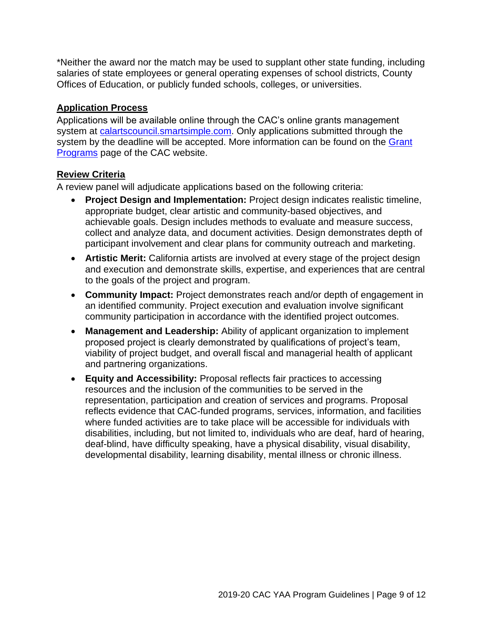\*Neither the award nor the match may be used to supplant other state funding, including salaries of state employees or general operating expenses of school districts, County Offices of Education, or publicly funded schools, colleges, or universities.

# **Application Process**

Applications will be available online through the CAC's online grants management system at [calartscouncil.smartsimple.com.](https://calartscouncil.smartsimple.com/s_Login.jsp) Only applications submitted through the system by the deadline will be accepted. More information can be found on the [Grant](http://arts.ca.gov/programs/app.php)  [Programs](http://arts.ca.gov/programs/app.php) page of the CAC website.

# **Review Criteria**

A review panel will adjudicate applications based on the following criteria:

- **Project Design and Implementation:** Project design indicates realistic timeline, appropriate budget, clear artistic and community-based objectives, and achievable goals. Design includes methods to evaluate and measure success, collect and analyze data, and document activities. Design demonstrates depth of participant involvement and clear plans for community outreach and marketing.
- **Artistic Merit:** California artists are involved at every stage of the project design and execution and demonstrate skills, expertise, and experiences that are central to the goals of the project and program.
- **Community Impact:** Project demonstrates reach and/or depth of engagement in an identified community. Project execution and evaluation involve significant community participation in accordance with the identified project outcomes.
- **Management and Leadership:** Ability of applicant organization to implement proposed project is clearly demonstrated by qualifications of project's team, viability of project budget, and overall fiscal and managerial health of applicant and partnering organizations.
- **Equity and Accessibility:** Proposal reflects fair practices to accessing resources and the inclusion of the communities to be served in the representation, participation and creation of services and programs. Proposal reflects evidence that CAC-funded programs, services, information, and facilities where funded activities are to take place will be accessible for individuals with disabilities, including, but not limited to, individuals who are deaf, hard of hearing, deaf-blind, have difficulty speaking, have a physical disability, visual disability, developmental disability, learning disability, mental illness or chronic illness.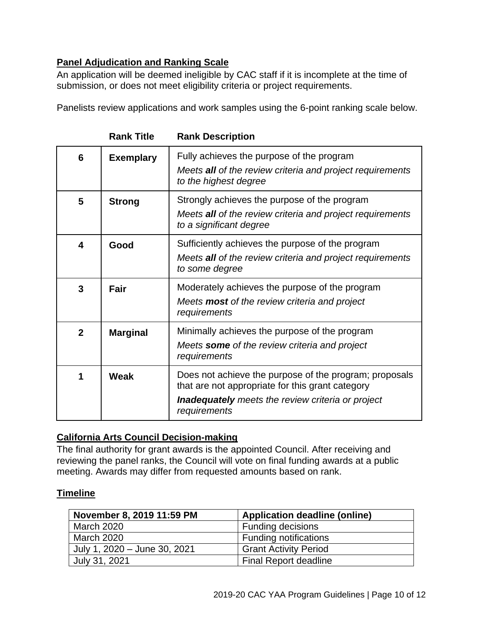# **Panel Adjudication and Ranking Scale**

An application will be deemed ineligible by CAC staff if it is incomplete at the time of submission, or does not meet eligibility criteria or project requirements.

Panelists review applications and work samples using the 6-point ranking scale below.

| 6                       | <b>Exemplary</b> | Fully achieves the purpose of the program<br>Meets all of the review criteria and project requirements<br>to the highest degree                                                        |
|-------------------------|------------------|----------------------------------------------------------------------------------------------------------------------------------------------------------------------------------------|
| 5                       | <b>Strong</b>    | Strongly achieves the purpose of the program<br>Meets all of the review criteria and project requirements<br>to a significant degree                                                   |
| $\overline{\mathbf{4}}$ | Good             | Sufficiently achieves the purpose of the program<br>Meets all of the review criteria and project requirements<br>to some degree                                                        |
| 3                       | Fair             | Moderately achieves the purpose of the program<br>Meets <b>most</b> of the review criteria and project<br>requirements                                                                 |
| $\mathbf{2}$            | <b>Marginal</b>  | Minimally achieves the purpose of the program<br>Meets some of the review criteria and project<br>requirements                                                                         |
|                         | Weak             | Does not achieve the purpose of the program; proposals<br>that are not appropriate for this grant category<br><b>Inadequately</b> meets the review criteria or project<br>requirements |

**Rank Title Rank Description**

## **California Arts Council Decision-making**

The final authority for grant awards is the appointed Council. After receiving and reviewing the panel ranks, the Council will vote on final funding awards at a public meeting. Awards may differ from requested amounts based on rank.

# <span id="page-9-0"></span>**Timeline**

| November 8, 2019 11:59 PM    | <b>Application deadline (online)</b> |
|------------------------------|--------------------------------------|
| <b>March 2020</b>            | <b>Funding decisions</b>             |
| <b>March 2020</b>            | <b>Funding notifications</b>         |
| July 1, 2020 – June 30, 2021 | <b>Grant Activity Period</b>         |
| July 31, 2021                | <b>Final Report deadline</b>         |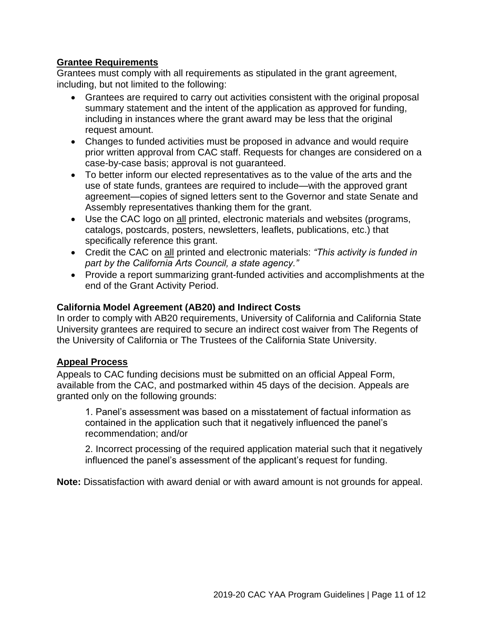# **Grantee Requirements**

Grantees must comply with all requirements as stipulated in the grant agreement, including, but not limited to the following:

- Grantees are required to carry out activities consistent with the original proposal summary statement and the intent of the application as approved for funding, including in instances where the grant award may be less that the original request amount.
- Changes to funded activities must be proposed in advance and would require prior written approval from CAC staff. Requests for changes are considered on a case-by-case basis; approval is not guaranteed.
- To better inform our elected representatives as to the value of the arts and the use of state funds, grantees are required to include—with the approved grant agreement—copies of signed letters sent to the Governor and state Senate and Assembly representatives thanking them for the grant.
- Use the CAC logo on all printed, electronic materials and websites (programs, catalogs, postcards, posters, newsletters, leaflets, publications, etc.) that specifically reference this grant.
- Credit the CAC on all printed and electronic materials: *"This activity is funded in part by the California Arts Council, a state agency."*
- Provide a report summarizing grant-funded activities and accomplishments at the end of the Grant Activity Period.

# **California Model Agreement (AB20) and Indirect Costs**

In order to comply with AB20 requirements, University of California and California State University grantees are required to secure an indirect cost waiver from The Regents of the University of California or The Trustees of the California State University.

### **Appeal Process**

Appeals to CAC funding decisions must be submitted on an official Appeal Form, available from the CAC, and postmarked within 45 days of the decision. Appeals are granted only on the following grounds:

1. Panel's assessment was based on a misstatement of factual information as contained in the application such that it negatively influenced the panel's recommendation; and/or

2. Incorrect processing of the required application material such that it negatively influenced the panel's assessment of the applicant's request for funding.

<span id="page-10-0"></span>**Note:** Dissatisfaction with award denial or with award amount is not grounds for appeal.